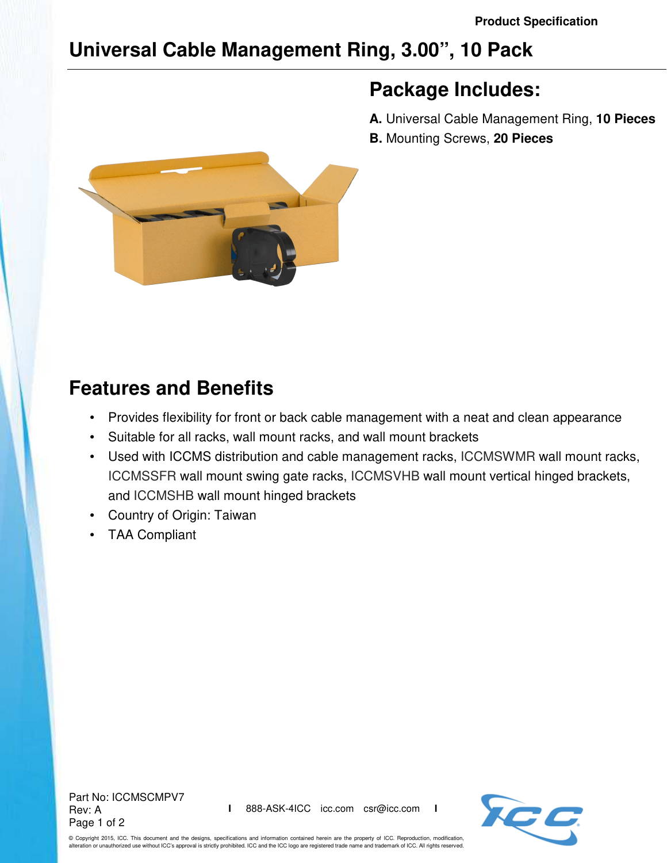# **Universal Cable Management Ring, 3.00", 10 Pack**

### **Package Includes:**

**A.** Universal Cable Management Ring, **10 Pieces**

**B.** Mounting Screws, **20 Pieces**



## **Features and Benefits**

- Provides flexibility for front or back cable management with a neat and clean appearance
- Suitable for all racks, wall mount racks, and wall mount brackets
- Used with ICCMS distribution and cable management racks, ICCMSWMR wall mount racks, ICCMSSFR wall mount swing gate racks, ICCMSVHB wall mount vertical hinged brackets, and ICCMSHB wall mount hinged brackets
- Country of Origin: Taiwan
- TAA Compliant

Part No: ICCMSCMPV7 Rev: A Page 1 of 2



© Copyright 2015, ICC. This document and the designs, specifications and information contained herein are the property of ICC. Reproduction, modification, alteration or unauthorized use without ICC's approval is strictly prohibited. ICC and the ICC logo are registered trade name and trademark of ICC. All rights reserved.